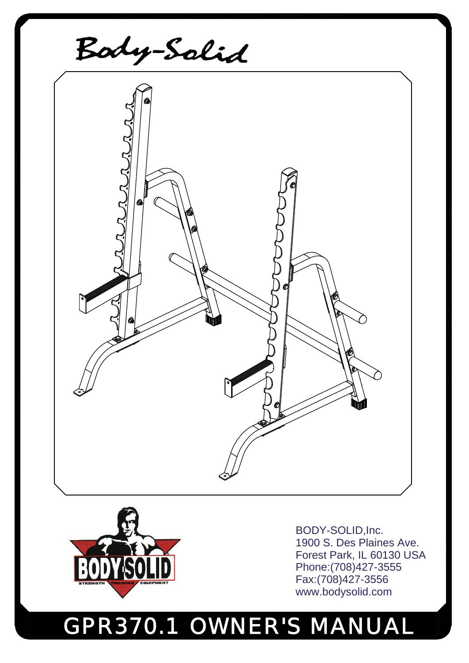# GPR370.1 OWNER'S MANUAL



BODY-SOLID,Inc. 1900 S. Des Plaines Ave. Forest Park, IL 60130 USA Phone:(708)427-3555 Fax:(708)427-3556 www.bodysolid.com

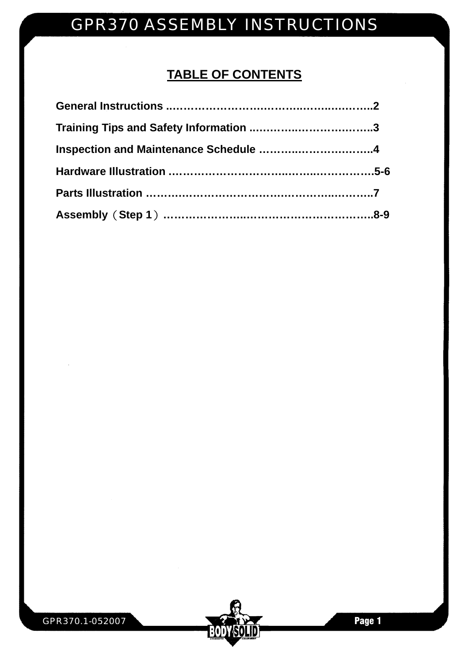### **TABLE OF CONTENTS**

| Inspection and Maintenance Schedule 4 |  |
|---------------------------------------|--|
|                                       |  |
|                                       |  |
|                                       |  |

**BODY SOLID**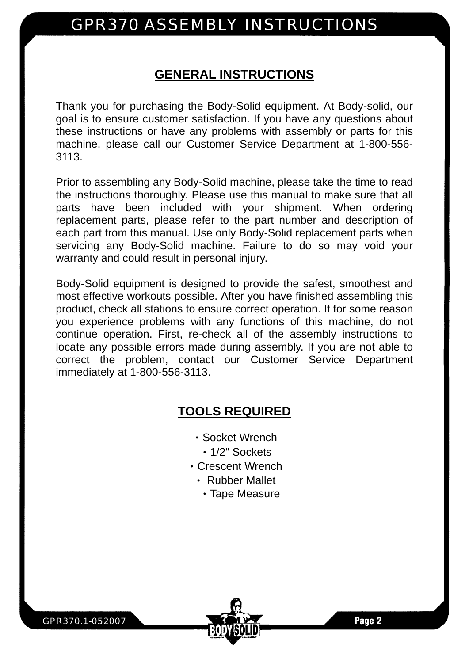### **GENERAL INSTRUCTIONS**

Thank you for purchasing the Body-Solid equipment. At Body-solid, our goal is to ensure customer satisfaction. If you have any questions about these instructions or have any problems with assembly or parts for this machine, please call our Customer Service Department at 1-800-556- 3113.

Prior to assembling any Body-Solid machine, please take the time to read the instructions thoroughly. Please use this manual to make sure that all parts have been included with your shipment. When ordering replacement parts, please refer to the part number and description of each part from this manual. Use only Body-Solid replacement parts when servicing any Body-Solid machine. Failure to do so may void your warranty and could result in personal injury.

Body-Solid equipment is designed to provide the safest, smoothest and most effective workouts possible. After you have finished assembling this product, check all stations to ensure correct operation. If for some reason you experience problems with any functions of this machine, do not continue operation. First, re-check all of the assembly instructions to locate any possible errors made during assembly. If you are not able to correct the problem, contact our Customer Service Department immediately at 1-800-556-3113.

### **TOOLS REQUIRED**

- ‧Socket Wrench
	- ‧1/2" Sockets
- ‧Crescent Wrench
	- ‧ Rubber Mallet
		- ‧Tape Measure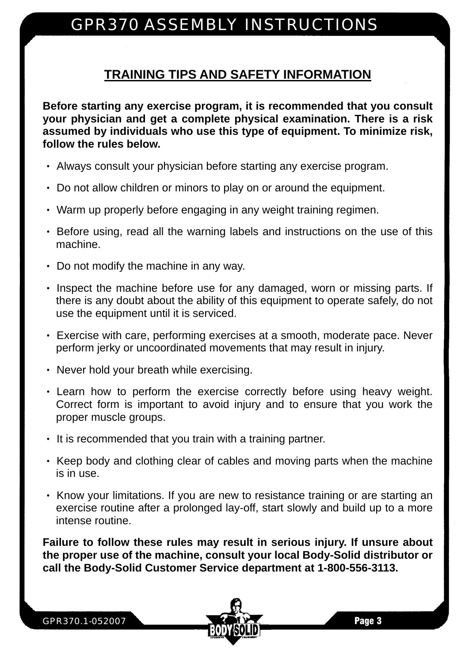### **TRAINING TIPS AND SAFETY INFORMATION**

**Before starting any exercise program, it is recommended that you consult your physician and get a complete physical examination. There is a risk assumed by individuals who use this type of equipment. To minimize risk, follow the rules below.** 

- ‧ Always consult your physician before starting any exercise program.
- ‧ Do not allow children or minors to play on or around the equipment.
- ‧ Warm up properly before engaging in any weight training regimen.
- ‧ Before using, read all the warning labels and instructions on the use of this machine.
- ‧ Do not modify the machine in any way.
- Inspect the machine before use for any damaged, worn or missing parts. If there is any doubt about the ability of this equipment to operate safely, do not use the equipment until it is serviced.
- ‧ Exercise with care, performing exercises at a smooth, moderate pace. Never perform jerky or uncoordinated movements that may result in injury.
- ‧ Never hold your breath while exercising.
- ‧ Learn how to perform the exercise correctly before using heavy weight. Correct form is important to avoid injury and to ensure that you work the proper muscle groups.
- ‧ It is recommended that you train with a training partner.
- Keep body and clothing clear of cables and moving parts when the machine is in use.
- ‧ Know your limitations. If you are new to resistance training or are starting an exercise routine after a prolonged lay-off, start slowly and build up to a more intense routine.

**Failure to follow these rules may result in serious injury. If unsure about the proper use of the machine, consult your local Body-Solid distributor or call the Body-Solid Customer Service department at 1-800-556-3113.** 

GPR370.1-052007

Page 3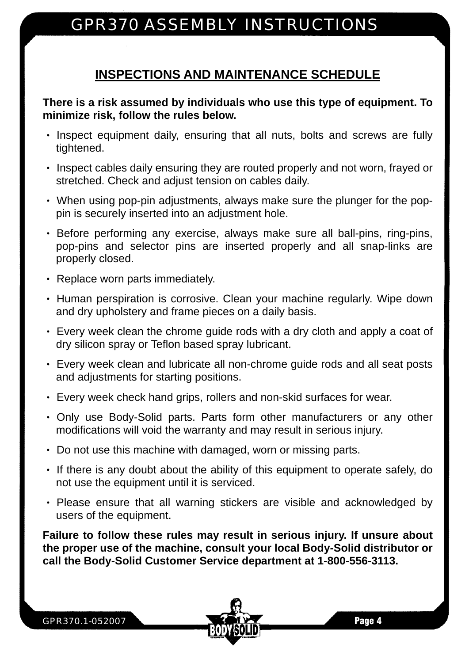### **INSPECTIONS AND MAINTENANCE SCHEDULE**

#### **There is a risk assumed by individuals who use this type of equipment. To minimize risk, follow the rules below.**

- ‧ Inspect equipment daily, ensuring that all nuts, bolts and screws are fully tightened.
- ‧ Inspect cables daily ensuring they are routed properly and not worn, frayed or stretched. Check and adjust tension on cables daily.
- ‧ When using pop-pin adjustments, always make sure the plunger for the poppin is securely inserted into an adjustment hole.
- ‧ Before performing any exercise, always make sure all ball-pins, ring-pins, pop-pins and selector pins are inserted properly and all snap-links are properly closed.
- ‧ Replace worn parts immediately.
- Human perspiration is corrosive. Clean your machine regularly. Wipe down and dry upholstery and frame pieces on a daily basis.
- ‧ Every week clean the chrome guide rods with a dry cloth and apply a coat of dry silicon spray or Teflon based spray lubricant.
- ‧ Every week clean and lubricate all non-chrome guide rods and all seat posts and adjustments for starting positions.
- ‧ Every week check hand grips, rollers and non-skid surfaces for wear.
- ‧ Only use Body-Solid parts. Parts form other manufacturers or any other modifications will void the warranty and may result in serious injury.
- ‧ Do not use this machine with damaged, worn or missing parts.
- ‧ If there is any doubt about the ability of this equipment to operate safely, do not use the equipment until it is serviced.
- ‧ Please ensure that all warning stickers are visible and acknowledged by users of the equipment.

**Failure to follow these rules may result in serious injury. If unsure about the proper use of the machine, consult your local Body-Solid distributor or call the Body-Solid Customer Service department at 1-800-556-3113.**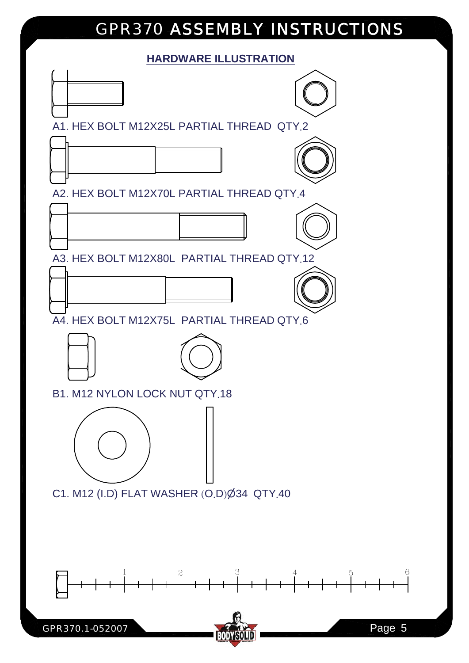#### **HARDWARE ILLUSTRATION**

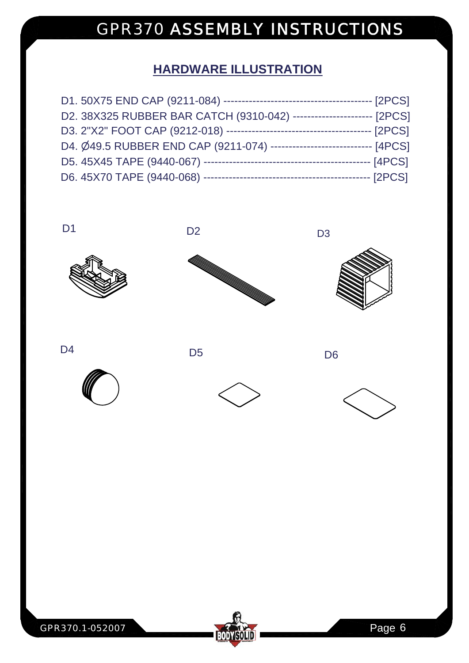### **HARDWARE ILLUSTRATION**

|                                                                            | --- [2PCS] |
|----------------------------------------------------------------------------|------------|
| D2. 38X325 RUBBER BAR CATCH (9310-042) ----------------------- [2PCS]      |            |
|                                                                            |            |
| D4. Ø49.5 RUBBER END CAP (9211-074) ------------------------------- [4PCS] |            |
|                                                                            |            |
|                                                                            |            |













GPR370.1-052007 Page 6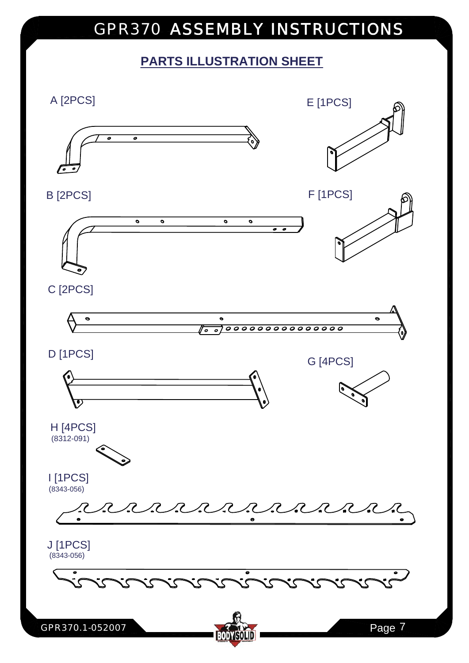### **PARTS ILLUSTRATION SHEET**

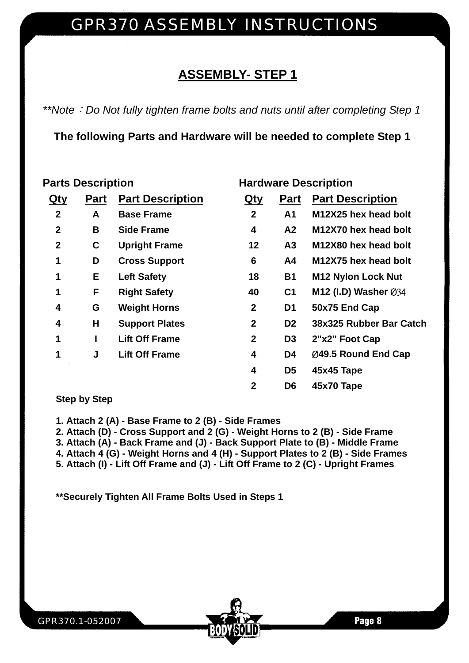### **ASSEMBLY- STEP 1**

*\*\*Note*:*Do Not fully tighten frame bolts and nuts until after completing Step 1* 

**The following Parts and Hardware will be needed to complete Step 1** 

#### **Parts Description Community Community Parts Description**

| Qty          | <b>Part</b> | <b>Part Description</b> | Qty            | <b>Part</b>    | <b>Part Description</b>   |
|--------------|-------------|-------------------------|----------------|----------------|---------------------------|
| $\mathbf{2}$ | A           | <b>Base Frame</b>       | $\overline{2}$ | A <sub>1</sub> | M12X25 hex head bolt      |
| $\mathbf{2}$ | В           | <b>Side Frame</b>       | 4              | A <sub>2</sub> | M12X70 hex head bolt      |
| $\mathbf{2}$ | C           | <b>Upright Frame</b>    | 12             | A3             | M12X80 hex head bolt      |
| 1            | D           | <b>Cross Support</b>    | 6              | A4             | M12X75 hex head bolt      |
| 1            | Е           | <b>Left Safety</b>      | 18             | <b>B1</b>      | <b>M12 Nylon Lock Nut</b> |
| 1            | F           | <b>Right Safety</b>     | 40             | C <sub>1</sub> | M12 (I.D) Washer Ø34      |
| 4            | G           | <b>Weight Horns</b>     | $\mathbf 2$    | D1             | 50x75 End Cap             |
| 4            | Н           | <b>Support Plates</b>   | $\overline{2}$ | D <sub>2</sub> | 38x325 Rubber Bar Catch   |
| 1            |             | <b>Lift Off Frame</b>   | $\mathbf{2}$   | D <sub>3</sub> | 2"x2" Foot Cap            |
| 1            | J           | <b>Lift Off Frame</b>   | 4              | D4             | Ø49.5 Round End Cap       |
|              |             |                         | 4              | D <sub>5</sub> | 45x45 Tape                |
|              |             |                         | $\mathbf 2$    | D <sub>6</sub> | 45x70 Tape                |

#### **Step by Step**

**1. Attach 2 (A) - Base Frame to 2 (B) - Side Frames** 

**2. Attach (D) - Cross Support and 2 (G) - Weight Horns to 2 (B) - Side Frame** 

**3. Attach (A) - Back Frame and (J) - Back Support Plate to (B) - Middle Frame** 

**4. Attach 4 (G) - Weight Horns and 4 (H) - Support Plates to 2 (B) - Side Frames** 

**5. Attach (I) - Lift Off Frame and (J) - Lift Off Frame to 2 (C) - Upright Frames** 

**\*\*Securely Tighten All Frame Bolts Used in Steps 1**